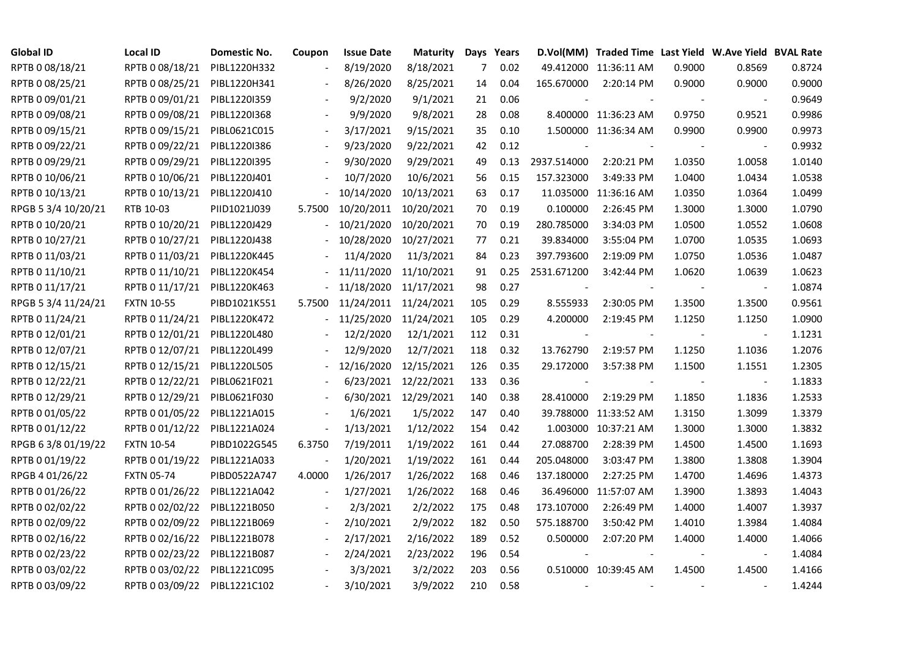| <b>Global ID</b>    | <b>Local ID</b>   | Domestic No. | Coupon                   | <b>Issue Date</b> | Maturity              |     | Days Years |                          | D.Vol(MM) Traded Time Last Yield W.Ave Yield BVAL Rate |        |                          |        |
|---------------------|-------------------|--------------|--------------------------|-------------------|-----------------------|-----|------------|--------------------------|--------------------------------------------------------|--------|--------------------------|--------|
| RPTB 0 08/18/21     | RPTB 0 08/18/21   | PIBL1220H332 |                          | 8/19/2020         | 8/18/2021             | 7   | 0.02       |                          | 49.412000 11:36:11 AM                                  | 0.9000 | 0.8569                   | 0.8724 |
| RPTB 0 08/25/21     | RPTB 0 08/25/21   | PIBL1220H341 |                          | 8/26/2020         | 8/25/2021             | 14  | 0.04       | 165.670000               | 2:20:14 PM                                             | 0.9000 | 0.9000                   | 0.9000 |
| RPTB 0 09/01/21     | RPTB 0 09/01/21   | PIBL1220I359 |                          | 9/2/2020          | 9/1/2021              | 21  | 0.06       |                          |                                                        |        |                          | 0.9649 |
| RPTB 0 09/08/21     | RPTB 0 09/08/21   | PIBL1220I368 | $\overline{\phantom{a}}$ | 9/9/2020          | 9/8/2021              | 28  | 0.08       |                          | 8.400000 11:36:23 AM                                   | 0.9750 | 0.9521                   | 0.9986 |
| RPTB 0 09/15/21     | RPTB 0 09/15/21   | PIBL0621C015 |                          | 3/17/2021         | 9/15/2021             | 35  | 0.10       |                          | 1.500000 11:36:34 AM                                   | 0.9900 | 0.9900                   | 0.9973 |
| RPTB 0 09/22/21     | RPTB 0 09/22/21   | PIBL1220I386 |                          | 9/23/2020         | 9/22/2021             | 42  | 0.12       |                          |                                                        |        |                          | 0.9932 |
| RPTB 0 09/29/21     | RPTB 0 09/29/21   | PIBL1220I395 |                          | 9/30/2020         | 9/29/2021             | 49  | 0.13       | 2937.514000              | 2:20:21 PM                                             | 1.0350 | 1.0058                   | 1.0140 |
| RPTB 0 10/06/21     | RPTB 0 10/06/21   | PIBL1220J401 |                          | 10/7/2020         | 10/6/2021             | 56  | 0.15       | 157.323000               | 3:49:33 PM                                             | 1.0400 | 1.0434                   | 1.0538 |
| RPTB 0 10/13/21     | RPTB 0 10/13/21   | PIBL1220J410 |                          | 10/14/2020        | 10/13/2021            | 63  | 0.17       |                          | 11.035000 11:36:16 AM                                  | 1.0350 | 1.0364                   | 1.0499 |
| RPGB 5 3/4 10/20/21 | RTB 10-03         | PIID1021J039 | 5.7500                   | 10/20/2011        | 10/20/2021            | 70  | 0.19       | 0.100000                 | 2:26:45 PM                                             | 1.3000 | 1.3000                   | 1.0790 |
| RPTB 0 10/20/21     | RPTB 0 10/20/21   | PIBL1220J429 |                          | 10/21/2020        | 10/20/2021            | 70  | 0.19       | 280.785000               | 3:34:03 PM                                             | 1.0500 | 1.0552                   | 1.0608 |
| RPTB 0 10/27/21     | RPTB 0 10/27/21   | PIBL1220J438 |                          | 10/28/2020        | 10/27/2021            | 77  | 0.21       | 39.834000                | 3:55:04 PM                                             | 1.0700 | 1.0535                   | 1.0693 |
| RPTB 0 11/03/21     | RPTB 0 11/03/21   | PIBL1220K445 |                          | 11/4/2020         | 11/3/2021             | 84  | 0.23       | 397.793600               | 2:19:09 PM                                             | 1.0750 | 1.0536                   | 1.0487 |
| RPTB 0 11/10/21     | RPTB 0 11/10/21   | PIBL1220K454 |                          | 11/11/2020        | 11/10/2021            | 91  | 0.25       | 2531.671200              | 3:42:44 PM                                             | 1.0620 | 1.0639                   | 1.0623 |
| RPTB 0 11/17/21     | RPTB 0 11/17/21   | PIBL1220K463 |                          | 11/18/2020        | 11/17/2021            | 98  | 0.27       |                          |                                                        |        | $\overline{\phantom{a}}$ | 1.0874 |
| RPGB 5 3/4 11/24/21 | <b>FXTN 10-55</b> | PIBD1021K551 | 5.7500                   |                   | 11/24/2011 11/24/2021 | 105 | 0.29       | 8.555933                 | 2:30:05 PM                                             | 1.3500 | 1.3500                   | 0.9561 |
| RPTB 0 11/24/21     | RPTB 0 11/24/21   | PIBL1220K472 |                          | 11/25/2020        | 11/24/2021            | 105 | 0.29       | 4.200000                 | 2:19:45 PM                                             | 1.1250 | 1.1250                   | 1.0900 |
| RPTB 0 12/01/21     | RPTB 0 12/01/21   | PIBL1220L480 |                          | 12/2/2020         | 12/1/2021             | 112 | 0.31       |                          |                                                        |        | $\overline{\phantom{a}}$ | 1.1231 |
| RPTB 0 12/07/21     | RPTB 0 12/07/21   | PIBL1220L499 |                          | 12/9/2020         | 12/7/2021             | 118 | 0.32       | 13.762790                | 2:19:57 PM                                             | 1.1250 | 1.1036                   | 1.2076 |
| RPTB 0 12/15/21     | RPTB 0 12/15/21   | PIBL1220L505 |                          | 12/16/2020        | 12/15/2021            | 126 | 0.35       | 29.172000                | 3:57:38 PM                                             | 1.1500 | 1.1551                   | 1.2305 |
| RPTB 0 12/22/21     | RPTB 0 12/22/21   | PIBL0621F021 |                          |                   | 6/23/2021 12/22/2021  | 133 | 0.36       | $\overline{\phantom{a}}$ |                                                        |        | $\overline{\phantom{a}}$ | 1.1833 |
| RPTB 0 12/29/21     | RPTB 0 12/29/21   | PIBL0621F030 |                          |                   | 6/30/2021 12/29/2021  | 140 | 0.38       | 28.410000                | 2:19:29 PM                                             | 1.1850 | 1.1836                   | 1.2533 |
| RPTB 0 01/05/22     | RPTB 0 01/05/22   | PIBL1221A015 |                          | 1/6/2021          | 1/5/2022              | 147 | 0.40       |                          | 39.788000 11:33:52 AM                                  | 1.3150 | 1.3099                   | 1.3379 |
| RPTB 0 01/12/22     | RPTB 0 01/12/22   | PIBL1221A024 | $\overline{\phantom{a}}$ | 1/13/2021         | 1/12/2022             | 154 | 0.42       |                          | 1.003000 10:37:21 AM                                   | 1.3000 | 1.3000                   | 1.3832 |
| RPGB 63/8 01/19/22  | <b>FXTN 10-54</b> | PIBD1022G545 | 6.3750                   | 7/19/2011         | 1/19/2022             | 161 | 0.44       | 27.088700                | 2:28:39 PM                                             | 1.4500 | 1.4500                   | 1.1693 |
| RPTB 0 01/19/22     | RPTB 0 01/19/22   | PIBL1221A033 |                          | 1/20/2021         | 1/19/2022             | 161 | 0.44       | 205.048000               | 3:03:47 PM                                             | 1.3800 | 1.3808                   | 1.3904 |
| RPGB 4 01/26/22     | <b>FXTN 05-74</b> | PIBD0522A747 | 4.0000                   | 1/26/2017         | 1/26/2022             | 168 | 0.46       | 137.180000               | 2:27:25 PM                                             | 1.4700 | 1.4696                   | 1.4373 |
| RPTB 0 01/26/22     | RPTB 0 01/26/22   | PIBL1221A042 | $\overline{\phantom{a}}$ | 1/27/2021         | 1/26/2022             | 168 | 0.46       |                          | 36.496000 11:57:07 AM                                  | 1.3900 | 1.3893                   | 1.4043 |
| RPTB 0 02/02/22     | RPTB 0 02/02/22   | PIBL1221B050 |                          | 2/3/2021          | 2/2/2022              | 175 | 0.48       | 173.107000               | 2:26:49 PM                                             | 1.4000 | 1.4007                   | 1.3937 |
| RPTB 0 02/09/22     | RPTB 0 02/09/22   | PIBL1221B069 |                          | 2/10/2021         | 2/9/2022              | 182 | 0.50       | 575.188700               | 3:50:42 PM                                             | 1.4010 | 1.3984                   | 1.4084 |
| RPTB 0 02/16/22     | RPTB 0 02/16/22   | PIBL1221B078 |                          | 2/17/2021         | 2/16/2022             | 189 | 0.52       | 0.500000                 | 2:07:20 PM                                             | 1.4000 | 1.4000                   | 1.4066 |
| RPTB 0 02/23/22     | RPTB 0 02/23/22   | PIBL1221B087 | $\blacksquare$           | 2/24/2021         | 2/23/2022             | 196 | 0.54       |                          |                                                        |        |                          | 1.4084 |
| RPTB 0 03/02/22     | RPTB 0 03/02/22   | PIBL1221C095 |                          | 3/3/2021          | 3/2/2022              | 203 | 0.56       |                          | 0.510000 10:39:45 AM                                   | 1.4500 | 1.4500                   | 1.4166 |
| RPTB 0 03/09/22     | RPTB 0 03/09/22   | PIBL1221C102 |                          | 3/10/2021         | 3/9/2022              | 210 | 0.58       |                          |                                                        |        |                          | 1.4244 |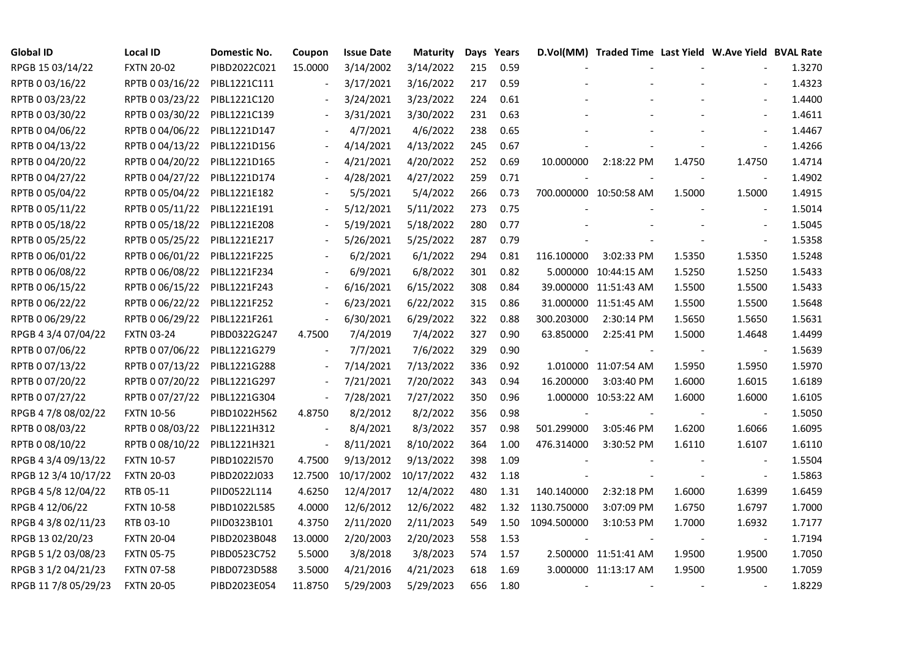| <b>Global ID</b>     | <b>Local ID</b>   | Domestic No. | Coupon                   | <b>Issue Date</b> | <b>Maturity</b> |     | Days Years |                | D.Vol(MM) Traded Time Last Yield W.Ave Yield BVAL Rate |        |                          |        |
|----------------------|-------------------|--------------|--------------------------|-------------------|-----------------|-----|------------|----------------|--------------------------------------------------------|--------|--------------------------|--------|
| RPGB 15 03/14/22     | <b>FXTN 20-02</b> | PIBD2022C021 | 15.0000                  | 3/14/2002         | 3/14/2022       | 215 | 0.59       |                |                                                        |        |                          | 1.3270 |
| RPTB 0 03/16/22      | RPTB 0 03/16/22   | PIBL1221C111 |                          | 3/17/2021         | 3/16/2022       | 217 | 0.59       |                |                                                        |        |                          | 1.4323 |
| RPTB 0 03/23/22      | RPTB 0 03/23/22   | PIBL1221C120 |                          | 3/24/2021         | 3/23/2022       | 224 | 0.61       |                |                                                        |        | $\blacksquare$           | 1.4400 |
| RPTB 0 03/30/22      | RPTB 0 03/30/22   | PIBL1221C139 | $\blacksquare$           | 3/31/2021         | 3/30/2022       | 231 | 0.63       |                |                                                        |        | $\blacksquare$           | 1.4611 |
| RPTB 0 04/06/22      | RPTB 0 04/06/22   | PIBL1221D147 |                          | 4/7/2021          | 4/6/2022        | 238 | 0.65       |                |                                                        |        |                          | 1.4467 |
| RPTB 0 04/13/22      | RPTB 0 04/13/22   | PIBL1221D156 |                          | 4/14/2021         | 4/13/2022       | 245 | 0.67       |                |                                                        |        |                          | 1.4266 |
| RPTB 0 04/20/22      | RPTB 0 04/20/22   | PIBL1221D165 |                          | 4/21/2021         | 4/20/2022       | 252 | 0.69       | 10.000000      | 2:18:22 PM                                             | 1.4750 | 1.4750                   | 1.4714 |
| RPTB 0 04/27/22      | RPTB 0 04/27/22   | PIBL1221D174 |                          | 4/28/2021         | 4/27/2022       | 259 | 0.71       |                |                                                        |        | $\blacksquare$           | 1.4902 |
| RPTB 0 05/04/22      | RPTB 0 05/04/22   | PIBL1221E182 |                          | 5/5/2021          | 5/4/2022        | 266 | 0.73       |                | 700.000000 10:50:58 AM                                 | 1.5000 | 1.5000                   | 1.4915 |
| RPTB 0 05/11/22      | RPTB 0 05/11/22   | PIBL1221E191 |                          | 5/12/2021         | 5/11/2022       | 273 | 0.75       |                |                                                        |        | $\blacksquare$           | 1.5014 |
| RPTB 0 05/18/22      | RPTB 0 05/18/22   | PIBL1221E208 | $\frac{1}{2}$            | 5/19/2021         | 5/18/2022       | 280 | 0.77       |                |                                                        |        | $\overline{a}$           | 1.5045 |
| RPTB 0 05/25/22      | RPTB 0 05/25/22   | PIBL1221E217 |                          | 5/26/2021         | 5/25/2022       | 287 | 0.79       |                |                                                        |        | $\overline{\phantom{a}}$ | 1.5358 |
| RPTB 0 06/01/22      | RPTB 0 06/01/22   | PIBL1221F225 |                          | 6/2/2021          | 6/1/2022        | 294 | 0.81       | 116.100000     | 3:02:33 PM                                             | 1.5350 | 1.5350                   | 1.5248 |
| RPTB 0 06/08/22      | RPTB 0 06/08/22   | PIBL1221F234 |                          | 6/9/2021          | 6/8/2022        | 301 | 0.82       |                | 5.000000 10:44:15 AM                                   | 1.5250 | 1.5250                   | 1.5433 |
| RPTB 0 06/15/22      | RPTB 0 06/15/22   | PIBL1221F243 |                          | 6/16/2021         | 6/15/2022       | 308 | 0.84       |                | 39.000000 11:51:43 AM                                  | 1.5500 | 1.5500                   | 1.5433 |
| RPTB 0 06/22/22      | RPTB 0 06/22/22   | PIBL1221F252 |                          | 6/23/2021         | 6/22/2022       | 315 | 0.86       |                | 31.000000 11:51:45 AM                                  | 1.5500 | 1.5500                   | 1.5648 |
| RPTB 0 06/29/22      | RPTB 0 06/29/22   | PIBL1221F261 | $\overline{\phantom{a}}$ | 6/30/2021         | 6/29/2022       | 322 | 0.88       | 300.203000     | 2:30:14 PM                                             | 1.5650 | 1.5650                   | 1.5631 |
| RPGB 4 3/4 07/04/22  | <b>FXTN 03-24</b> | PIBD0322G247 | 4.7500                   | 7/4/2019          | 7/4/2022        | 327 | 0.90       | 63.850000      | 2:25:41 PM                                             | 1.5000 | 1.4648                   | 1.4499 |
| RPTB 0 07/06/22      | RPTB 0 07/06/22   | PIBL1221G279 | $\overline{\phantom{a}}$ | 7/7/2021          | 7/6/2022        | 329 | 0.90       |                |                                                        |        |                          | 1.5639 |
| RPTB 0 07/13/22      | RPTB 0 07/13/22   | PIBL1221G288 | $\blacksquare$           | 7/14/2021         | 7/13/2022       | 336 | 0.92       |                | 1.010000 11:07:54 AM                                   | 1.5950 | 1.5950                   | 1.5970 |
| RPTB 0 07/20/22      | RPTB 0 07/20/22   | PIBL1221G297 | $\blacksquare$           | 7/21/2021         | 7/20/2022       | 343 | 0.94       | 16.200000      | 3:03:40 PM                                             | 1.6000 | 1.6015                   | 1.6189 |
| RPTB 0 07/27/22      | RPTB 0 07/27/22   | PIBL1221G304 | $\Box$                   | 7/28/2021         | 7/27/2022       | 350 | 0.96       |                | 1.000000 10:53:22 AM                                   | 1.6000 | 1.6000                   | 1.6105 |
| RPGB 4 7/8 08/02/22  | <b>FXTN 10-56</b> | PIBD1022H562 | 4.8750                   | 8/2/2012          | 8/2/2022        | 356 | 0.98       |                |                                                        |        |                          | 1.5050 |
| RPTB 0 08/03/22      | RPTB 0 08/03/22   | PIBL1221H312 |                          | 8/4/2021          | 8/3/2022        | 357 | 0.98       | 501.299000     | 3:05:46 PM                                             | 1.6200 | 1.6066                   | 1.6095 |
| RPTB 0 08/10/22      | RPTB 0 08/10/22   | PIBL1221H321 | $\blacksquare$           | 8/11/2021         | 8/10/2022       | 364 | 1.00       | 476.314000     | 3:30:52 PM                                             | 1.6110 | 1.6107                   | 1.6110 |
| RPGB 4 3/4 09/13/22  | <b>FXTN 10-57</b> | PIBD1022I570 | 4.7500                   | 9/13/2012         | 9/13/2022       | 398 | 1.09       |                |                                                        |        | $\overline{\phantom{a}}$ | 1.5504 |
| RPGB 12 3/4 10/17/22 | <b>FXTN 20-03</b> | PIBD2022J033 | 12.7500                  | 10/17/2002        | 10/17/2022      | 432 | 1.18       |                |                                                        |        | $\blacksquare$           | 1.5863 |
| RPGB 4 5/8 12/04/22  | RTB 05-11         | PIID0522L114 | 4.6250                   | 12/4/2017         | 12/4/2022       | 480 | 1.31       | 140.140000     | 2:32:18 PM                                             | 1.6000 | 1.6399                   | 1.6459 |
| RPGB 4 12/06/22      | <b>FXTN 10-58</b> | PIBD1022L585 | 4.0000                   | 12/6/2012         | 12/6/2022       | 482 | 1.32       | 1130.750000    | 3:07:09 PM                                             | 1.6750 | 1.6797                   | 1.7000 |
| RPGB 4 3/8 02/11/23  | RTB 03-10         | PIID0323B101 | 4.3750                   | 2/11/2020         | 2/11/2023       | 549 | 1.50       | 1094.500000    | 3:10:53 PM                                             | 1.7000 | 1.6932                   | 1.7177 |
| RPGB 13 02/20/23     | <b>FXTN 20-04</b> | PIBD2023B048 | 13.0000                  | 2/20/2003         | 2/20/2023       | 558 | 1.53       |                |                                                        |        |                          | 1.7194 |
| RPGB 5 1/2 03/08/23  | <b>FXTN 05-75</b> | PIBD0523C752 | 5.5000                   | 3/8/2018          | 3/8/2023        | 574 | 1.57       |                | 2.500000 11:51:41 AM                                   | 1.9500 | 1.9500                   | 1.7050 |
| RPGB 3 1/2 04/21/23  | <b>FXTN 07-58</b> | PIBD0723D588 | 3.5000                   | 4/21/2016         | 4/21/2023       | 618 | 1.69       |                | 3.000000 11:13:17 AM                                   | 1.9500 | 1.9500                   | 1.7059 |
| RPGB 11 7/8 05/29/23 | <b>FXTN 20-05</b> | PIBD2023E054 | 11.8750                  | 5/29/2003         | 5/29/2023       | 656 | 1.80       | $\blacksquare$ |                                                        |        |                          | 1.8229 |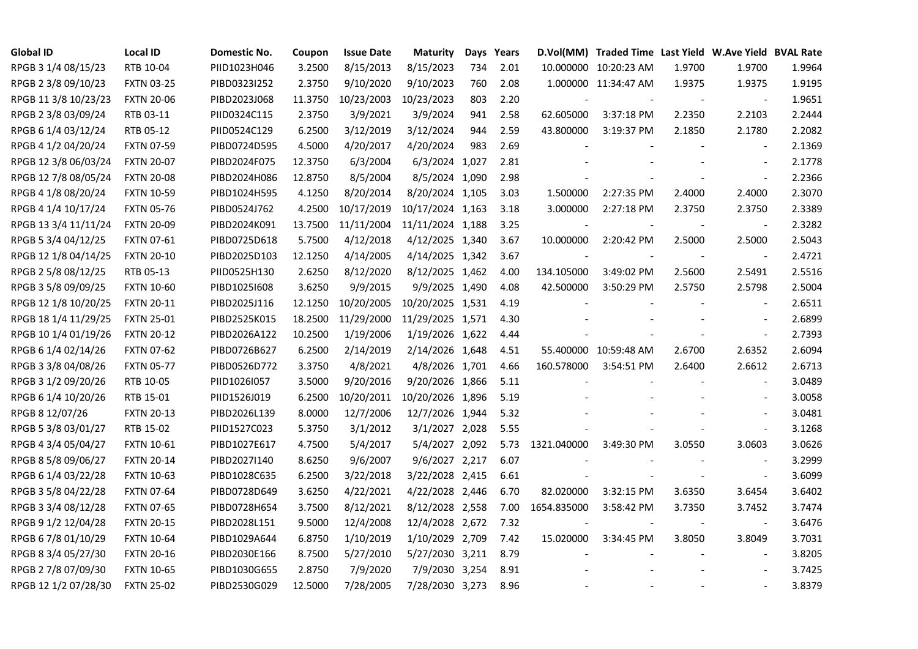| <b>Global ID</b>     | <b>Local ID</b>   | Domestic No. | Coupon  | <b>Issue Date</b> | <b>Maturity</b>  |     | Days Years |             | D.Vol(MM) Traded Time Last Yield W.Ave Yield BVAL Rate |                          |                          |        |
|----------------------|-------------------|--------------|---------|-------------------|------------------|-----|------------|-------------|--------------------------------------------------------|--------------------------|--------------------------|--------|
| RPGB 3 1/4 08/15/23  | RTB 10-04         | PIID1023H046 | 3.2500  | 8/15/2013         | 8/15/2023        | 734 | 2.01       |             | 10.000000 10:20:23 AM                                  | 1.9700                   | 1.9700                   | 1.9964 |
| RPGB 2 3/8 09/10/23  | <b>FXTN 03-25</b> | PIBD0323I252 | 2.3750  | 9/10/2020         | 9/10/2023        | 760 | 2.08       |             | 1.000000 11:34:47 AM                                   | 1.9375                   | 1.9375                   | 1.9195 |
| RPGB 11 3/8 10/23/23 | <b>FXTN 20-06</b> | PIBD2023J068 | 11.3750 | 10/23/2003        | 10/23/2023       | 803 | 2.20       |             |                                                        |                          | $\overline{\phantom{a}}$ | 1.9651 |
| RPGB 2 3/8 03/09/24  | RTB 03-11         | PIID0324C115 | 2.3750  | 3/9/2021          | 3/9/2024         | 941 | 2.58       | 62.605000   | 3:37:18 PM                                             | 2.2350                   | 2.2103                   | 2.2444 |
| RPGB 6 1/4 03/12/24  | RTB 05-12         | PIID0524C129 | 6.2500  | 3/12/2019         | 3/12/2024        | 944 | 2.59       | 43.800000   | 3:19:37 PM                                             | 2.1850                   | 2.1780                   | 2.2082 |
| RPGB 4 1/2 04/20/24  | <b>FXTN 07-59</b> | PIBD0724D595 | 4.5000  | 4/20/2017         | 4/20/2024        | 983 | 2.69       |             |                                                        |                          | $\blacksquare$           | 2.1369 |
| RPGB 12 3/8 06/03/24 | <b>FXTN 20-07</b> | PIBD2024F075 | 12.3750 | 6/3/2004          | 6/3/2024 1,027   |     | 2.81       |             |                                                        |                          | $\blacksquare$           | 2.1778 |
| RPGB 12 7/8 08/05/24 | <b>FXTN 20-08</b> | PIBD2024H086 | 12.8750 | 8/5/2004          | 8/5/2024 1,090   |     | 2.98       |             |                                                        |                          | $\blacksquare$           | 2.2366 |
| RPGB 4 1/8 08/20/24  | <b>FXTN 10-59</b> | PIBD1024H595 | 4.1250  | 8/20/2014         | 8/20/2024 1,105  |     | 3.03       | 1.500000    | 2:27:35 PM                                             | 2.4000                   | 2.4000                   | 2.3070 |
| RPGB 4 1/4 10/17/24  | <b>FXTN 05-76</b> | PIBD0524J762 | 4.2500  | 10/17/2019        | 10/17/2024 1,163 |     | 3.18       | 3.000000    | 2:27:18 PM                                             | 2.3750                   | 2.3750                   | 2.3389 |
| RPGB 13 3/4 11/11/24 | <b>FXTN 20-09</b> | PIBD2024K091 | 13.7500 | 11/11/2004        | 11/11/2024 1,188 |     | 3.25       |             |                                                        |                          | $\blacksquare$           | 2.3282 |
| RPGB 5 3/4 04/12/25  | FXTN 07-61        | PIBD0725D618 | 5.7500  | 4/12/2018         | 4/12/2025 1,340  |     | 3.67       | 10.000000   | 2:20:42 PM                                             | 2.5000                   | 2.5000                   | 2.5043 |
| RPGB 12 1/8 04/14/25 | <b>FXTN 20-10</b> | PIBD2025D103 | 12.1250 | 4/14/2005         | 4/14/2025 1,342  |     | 3.67       |             |                                                        |                          | $\overline{\phantom{a}}$ | 2.4721 |
| RPGB 2 5/8 08/12/25  | RTB 05-13         | PIID0525H130 | 2.6250  | 8/12/2020         | 8/12/2025 1,462  |     | 4.00       | 134.105000  | 3:49:02 PM                                             | 2.5600                   | 2.5491                   | 2.5516 |
| RPGB 3 5/8 09/09/25  | <b>FXTN 10-60</b> | PIBD10251608 | 3.6250  | 9/9/2015          | 9/9/2025 1,490   |     | 4.08       | 42.500000   | 3:50:29 PM                                             | 2.5750                   | 2.5798                   | 2.5004 |
| RPGB 12 1/8 10/20/25 | <b>FXTN 20-11</b> | PIBD2025J116 | 12.1250 | 10/20/2005        | 10/20/2025 1,531 |     | 4.19       |             |                                                        |                          |                          | 2.6511 |
| RPGB 18 1/4 11/29/25 | <b>FXTN 25-01</b> | PIBD2525K015 | 18.2500 | 11/29/2000        | 11/29/2025 1,571 |     | 4.30       |             |                                                        |                          | $\overline{\phantom{a}}$ | 2.6899 |
| RPGB 10 1/4 01/19/26 | <b>FXTN 20-12</b> | PIBD2026A122 | 10.2500 | 1/19/2006         | 1/19/2026 1,622  |     | 4.44       |             |                                                        |                          | $\blacksquare$           | 2.7393 |
| RPGB 6 1/4 02/14/26  | <b>FXTN 07-62</b> | PIBD0726B627 | 6.2500  | 2/14/2019         | 2/14/2026 1,648  |     | 4.51       |             | 55.400000 10:59:48 AM                                  | 2.6700                   | 2.6352                   | 2.6094 |
| RPGB 3 3/8 04/08/26  | <b>FXTN 05-77</b> | PIBD0526D772 | 3.3750  | 4/8/2021          | 4/8/2026 1,701   |     | 4.66       | 160.578000  | 3:54:51 PM                                             | 2.6400                   | 2.6612                   | 2.6713 |
| RPGB 3 1/2 09/20/26  | RTB 10-05         | PIID1026I057 | 3.5000  | 9/20/2016         | 9/20/2026 1,866  |     | 5.11       |             |                                                        |                          | $\blacksquare$           | 3.0489 |
| RPGB 6 1/4 10/20/26  | RTB 15-01         | PIID1526J019 | 6.2500  | 10/20/2011        | 10/20/2026 1,896 |     | 5.19       |             |                                                        |                          | $\sim$                   | 3.0058 |
| RPGB 8 12/07/26      | <b>FXTN 20-13</b> | PIBD2026L139 | 8.0000  | 12/7/2006         | 12/7/2026 1,944  |     | 5.32       |             |                                                        |                          | $\overline{a}$           | 3.0481 |
| RPGB 5 3/8 03/01/27  | RTB 15-02         | PIID1527C023 | 5.3750  | 3/1/2012          | 3/1/2027 2,028   |     | 5.55       |             |                                                        |                          | $\blacksquare$           | 3.1268 |
| RPGB 4 3/4 05/04/27  | <b>FXTN 10-61</b> | PIBD1027E617 | 4.7500  | 5/4/2017          | 5/4/2027 2,092   |     | 5.73       | 1321.040000 | 3:49:30 PM                                             | 3.0550                   | 3.0603                   | 3.0626 |
| RPGB 8 5/8 09/06/27  | <b>FXTN 20-14</b> | PIBD2027I140 | 8.6250  | 9/6/2007          | 9/6/2027 2,217   |     | 6.07       |             |                                                        |                          | $\blacksquare$           | 3.2999 |
| RPGB 6 1/4 03/22/28  | <b>FXTN 10-63</b> | PIBD1028C635 | 6.2500  | 3/22/2018         | 3/22/2028 2,415  |     | 6.61       |             |                                                        |                          | $\blacksquare$           | 3.6099 |
| RPGB 3 5/8 04/22/28  | <b>FXTN 07-64</b> | PIBD0728D649 | 3.6250  | 4/22/2021         | 4/22/2028 2,446  |     | 6.70       | 82.020000   | 3:32:15 PM                                             | 3.6350                   | 3.6454                   | 3.6402 |
| RPGB 3 3/4 08/12/28  | <b>FXTN 07-65</b> | PIBD0728H654 | 3.7500  | 8/12/2021         | 8/12/2028 2,558  |     | 7.00       | 1654.835000 | 3:58:42 PM                                             | 3.7350                   | 3.7452                   | 3.7474 |
| RPGB 9 1/2 12/04/28  | <b>FXTN 20-15</b> | PIBD2028L151 | 9.5000  | 12/4/2008         | 12/4/2028 2,672  |     | 7.32       |             |                                                        |                          | $\sim$                   | 3.6476 |
| RPGB 67/8 01/10/29   | <b>FXTN 10-64</b> | PIBD1029A644 | 6.8750  | 1/10/2019         | 1/10/2029 2,709  |     | 7.42       | 15.020000   | 3:34:45 PM                                             | 3.8050                   | 3.8049                   | 3.7031 |
| RPGB 8 3/4 05/27/30  | <b>FXTN 20-16</b> | PIBD2030E166 | 8.7500  | 5/27/2010         | 5/27/2030 3,211  |     | 8.79       |             |                                                        |                          | $\blacksquare$           | 3.8205 |
| RPGB 2 7/8 07/09/30  | <b>FXTN 10-65</b> | PIBD1030G655 | 2.8750  | 7/9/2020          | 7/9/2030 3,254   |     | 8.91       |             |                                                        |                          | $\sim$                   | 3.7425 |
| RPGB 12 1/2 07/28/30 | <b>FXTN 25-02</b> | PIBD2530G029 | 12.5000 | 7/28/2005         | 7/28/2030 3,273  |     | 8.96       |             |                                                        | $\overline{\phantom{a}}$ | $\blacksquare$           | 3.8379 |